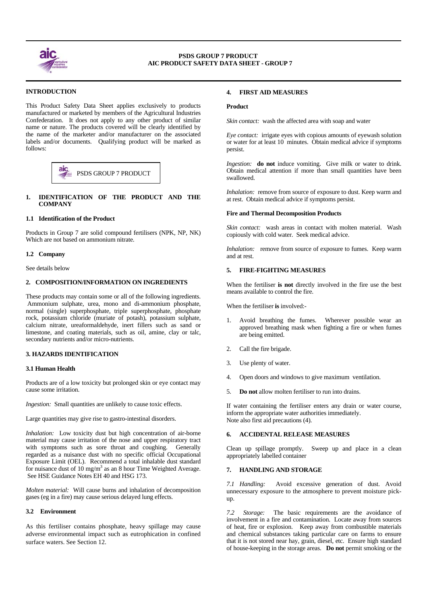

 $\overline{a}$ 

 $\overline{a}$ 

# **PSDS GROUP 7 PRODUCT AIC PRODUCT SAFETY DATA SHEET - GROUP 7**

# **INTRODUCTION**

This Product Safety Data Sheet applies exclusively to products manufactured or marketed by members of the Agricultural Industries Confederation. It does not apply to any other product of similar name or nature. The products covered will be clearly identified by the name of the marketer and/or manufacturer on the associated labels and/or documents. Qualifying product will be marked as follows:

#### aic PSDS GROUP 7 PRODUCT

# **1. IDENTIFICATION OF THE PRODUCT AND THE COMPANY**

# **1.1 Identification of the Product**

Products in Group 7 are solid compound fertilisers (NPK, NP, NK) Which are not based on ammonium nitrate.

#### **1.2 Company**

See details below

#### **2. COMPOSITION/INFORMATION ON INGREDIENTS**

These products may contain some or all of the following ingredients. Ammonium sulphate, urea, mono and di-ammonium phosphate, normal (single) superphosphate, triple superphosphate, phosphate rock, potassium chloride (muriate of potash), potassium sulphate, calcium nitrate, ureaformaldehyde, inert fillers such as sand or limestone, and coating materials, such as oil, amine, clay or talc, secondary nutrients and/or micro-nutrients.

# **3. HAZARDS IDENTIFICATION**

#### **3.1 Human Health**

Products are of a low toxicity but prolonged skin or eye contact may cause some irritation.

*Ingestion:* Small quantities are unlikely to cause toxic effects.

Large quantities may give rise to gastro-intestinal disorders.

*Inhalation:* Low toxicity dust but high concentration of air-borne material may cause irritation of the nose and upper respiratory tract with symptoms such as sore throat and coughing. Generally regarded as a nuisance dust with no specific official Occupational Exposure Limit (OEL). Recommend a total inhalable dust standard for nuisance dust of  $10 \text{ mg/m}^3$  as an 8 hour Time Weighted Average. See HSE Guidance Notes EH 40 and HSG 173.

*Molten material:* Will cause burns and inhalation of decomposition gases (eg in a fire) may cause serious delayed lung effects.

# **3.2 Environment**

As this fertiliser contains phosphate, heavy spillage may cause adverse environmental impact such as eutrophication in confined surface waters. See Section 12.

# **4. FIRST AID MEASURES**

#### **Product**

*Skin contact:* wash the affected area with soap and water

*Eye contact:* irrigate eyes with copious amounts of eyewash solution or water for at least 10 minutes. Obtain medical advice if symptoms persist.

*Ingestion:* **do not** induce vomiting. Give milk or water to drink. Obtain medical attention if more than small quantities have been

*Inhalation:* remove from source of exposure to dust. Keep warm and at rest. Obtain medical advice if symptoms persist.

#### **Fire and Thermal Decomposition Products**

*Skin contact:* wash areas in contact with molten material. Wash copiously with cold water. Seek medical advice.

*Inhalation:* remove from source of exposure to fumes. Keep warm and at rest.

### **5. FIRE-FIGHTING MEASURES**

When the fertiliser **is not** directly involved in the fire use the best means available to control the fire.

When the fertiliser **is** involved:-

- Avoid breathing the fumes. Wherever possible wear an approved breathing mask when fighting a fire or when fumes are being emitted.
- 2. Call the fire brigade.
- 3. Use plenty of water.
- 4. Open doors and windows to give maximum ventilation.
- 5. **Do not** allow molten fertiliser to run into drains.

If water containing the fertiliser enters any drain or water course, inform the appropriate water authorities immediately. Note also first aid precautions (4).

#### **6. ACCIDENTAL RELEASE MEASURES**

Clean up spillage promptly. Sweep up and place in a clean appropriately labelled container

#### **7. HANDLING AND STORAGE**

*7.1 Handling:* Avoid excessive generation of dust. Avoid unnecessary exposure to the atmosphere to prevent moisture pickup.

*7.2 Storage:* The basic requirements are the avoidance of involvement in a fire and contamination. Locate away from sources of heat, fire or explosion. Keep away from combustible materials and chemical substances taking particular care on farms to ensure that it is not stored near hay, grain, diesel, etc. Ensure high standard of house-keeping in the storage areas. **Do not** permit smoking or the